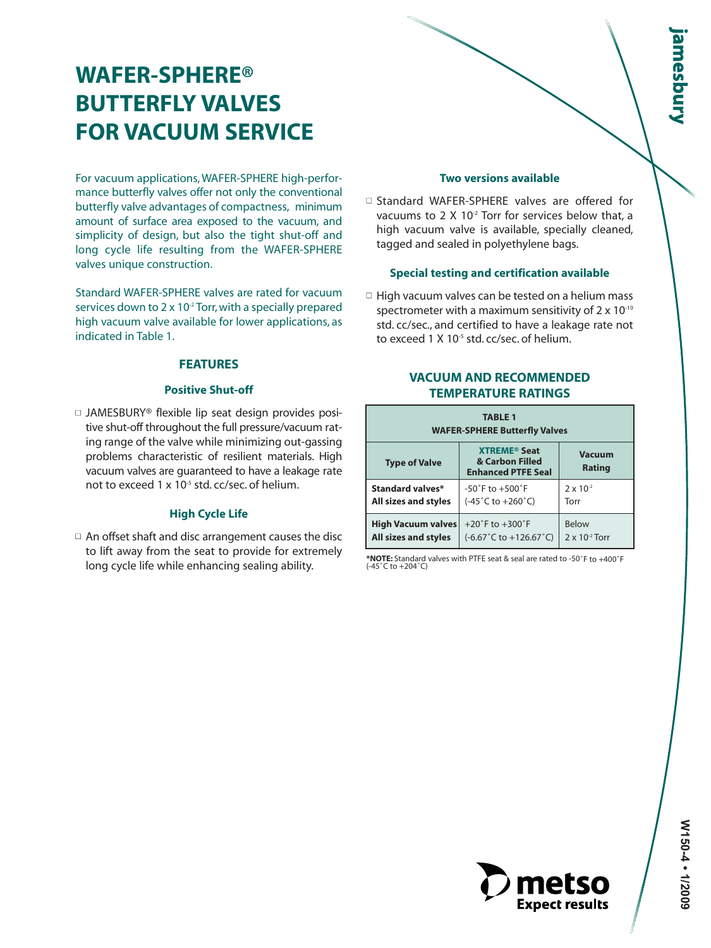# **WAFER-SPHERE® BUTTERFLY VALVES FOR VACUUM SERVICE**

For vacuum applications, WAFER-SPHERE high-performance butterfly valves offer not only the conventional butterfly valve advantages of compactness, minimum amount of surface area exposed to the vacuum, and simplicity of design, but also the tight shut-off and long cycle life resulting from the WAFER-SPHERE valves unique construction.

Standard WAFER-SPHERE valves are rated for vacuum services down to  $2 \times 10^{2}$  Torr, with a specially prepared high vacuum valve available for lower applications, as indicated in Table 1.

# **FEATURES**

# **Positive Shut-off**

□ JAMESBURY® flexible lip seat design provides positive shut-off throughout the full pressure/vacuum rating range of the valve while minimizing out-gassing problems characteristic of resilient materials. High vacuum valves are guaranteed to have a leakage rate not to exceed  $1 \times 10^{-5}$  std. cc/sec. of helium.

# **High Cycle Life**

 $\Box$  An offset shaft and disc arrangement causes the disc to lift away from the seat to provide for extremely

#### **Two versions available**

□ Standard WAFER-SPHERE valves are offered for vacuums to 2 X 10<sup>-2</sup> Torr for services below that, a high vacuum valve is available, specially cleaned, tagged and sealed in polyethylene bags.

# **Special testing and certification available**

 $\Box$  High vacuum valves can be tested on a helium mass spectrometer with a maximum sensitivity of  $2 \times 10^{-10}$ std. cc/sec., and certified to have a leakage rate not to exceed 1 X  $10<sup>5</sup>$  std. cc/sec. of helium.

# **VACUUM AND RECOMMENDED TEMPERATURE RATINGS**

| <b>TABLE 1</b><br><b>WAFER-SPHERE Butterfly Valves</b> |                                                                                |                         |  |  |  |  |  |  |
|--------------------------------------------------------|--------------------------------------------------------------------------------|-------------------------|--|--|--|--|--|--|
| <b>Type of Valve</b>                                   | <b>XTREME<sup>®</sup> Seat</b><br>& Carbon Filled<br><b>Enhanced PTFE Seal</b> | <b>Vacuum</b><br>Rating |  |  |  |  |  |  |
| Standard valves*                                       | $-50^{\circ}$ F to $+500^{\circ}$ F                                            | $2 \times 10^{-2}$      |  |  |  |  |  |  |
| <b>All sizes and styles</b>                            | $(-45^{\circ}$ C to $+260^{\circ}$ C)                                          | Torr                    |  |  |  |  |  |  |
| <b>High Vacuum valves</b>                              | $+20^{\circ}$ F to $+300^{\circ}$ F                                            | <b>Below</b>            |  |  |  |  |  |  |
| <b>All sizes and styles</b>                            | $(-6.67^{\circ}$ C to $+126.67^{\circ}$ C)                                     | $2 \times 10^{2}$ Torr  |  |  |  |  |  |  |

long cycle life while enhancing sealing ability. **\*NOTE:** Standard valves with PTFE seat & seal are rated to -50˚F to +400˚F (-45˚C to +204˚C)